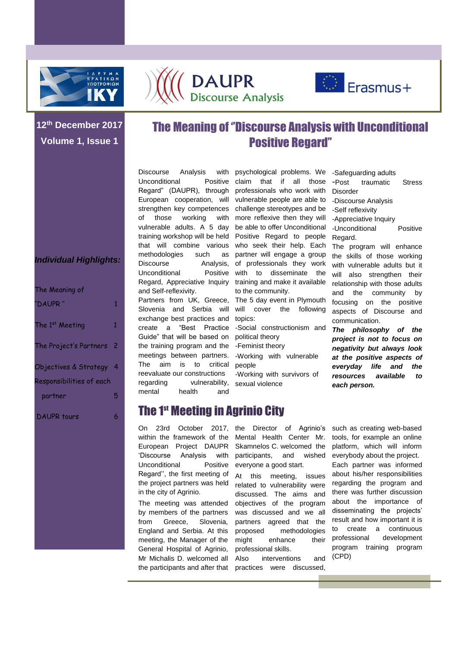





-Safeguarding adults

-Post traumatic Stress

### **12th December 2017 Volume 1, Issue 1**

## The Meaning of ''Discourse Analysis with Unconditional Positive Regard''

Discourse Analysis Unconditional Positive Regard" (DAUPR), through of those working methodologies such as Discourse Analysis, Unconditional and Self-reflexivity. exchange best practices and topics: Guide" that will be based on political theory the training program and the -Feminist theory meetings between partners. -Working with vulnerable The aim is to critical people reevaluate our constructions

European cooperation, will vulnerable people are able to strengthen key competences challenge stereotypes and be vulnerable adults. A 5 day be able to offer Unconditional training workshop will be held Positive Regard to people that will combine various who seek their help. Each Regard, Appreciative Inquiry training and make it available with psychological problems. We claim that if all those professionals who work with with more reflexive then they will partner will engage a group of professionals they work Positive with to disseminate the to the community.

Partners from UK, Greece, The 5 day event in Plymouth Slovenia and Serbia will will cover the following

- create a "Best Practice -Social constructionism and
	-
	-
- regarding vulnerability, sexual violence -Working with survivors of
- Disorder -Discourse Analysis -Self reflexivity -Appreciative Inquiry -Unconditional Positive Regard. The program will enhance the skills of those working with vulnerable adults but it will also strengthen their relationship with those adults and the community by focusing on the positive aspects of Discourse and communication.

*The philosophy of the project is not to focus on negativity but always look at the positive aspects of everyday life and the resources available to each person.*

## The 1st Meeting in Agrinio City

European Project DAUPR 'Discourse Analysis with Unconditional Positive Regard'', the first meeting of the project partners was held in the city of Agrinio.

mental health and

by members of the partners from Greece, Slovenia, England and Serbia. At this meeting, the Manager of the General Hospital of Agrinio, Mr Michalis D. welcomed all

On 23rd October 2017, the Director of Agrinio's within the framework of the Mental Health Center Mr. Skamnelos C. welcomed the participants, and wished everyone a good start.

The meeting was attended objectives of the program At this meeting, issues related to vulnerability were discussed. The aims and was discussed and we all partners agreed that the proposed methodologies might enhance their professional skills.

the participants and after that practices were discussed, interventions and

such as creating web-based tools, for example an online platform, which will inform everybody about the project. Each partner was informed about his/her responsibilities regarding the program and there was further discussion about the importance of disseminating the projects' result and how important it is to create a continuous professional development program training program (CPD)

#### *Individual Highlights:*

| The Meaning of                                      |   |
|-----------------------------------------------------|---|
| "DAUPR "                                            | 1 |
| The 1st Meeting                                     | 1 |
| The Project's Partners 2                            |   |
| Objectives & Strategy 4<br>Responsibilities of each |   |
| partner                                             | 5 |
| DAUPR tours                                         | 6 |
|                                                     |   |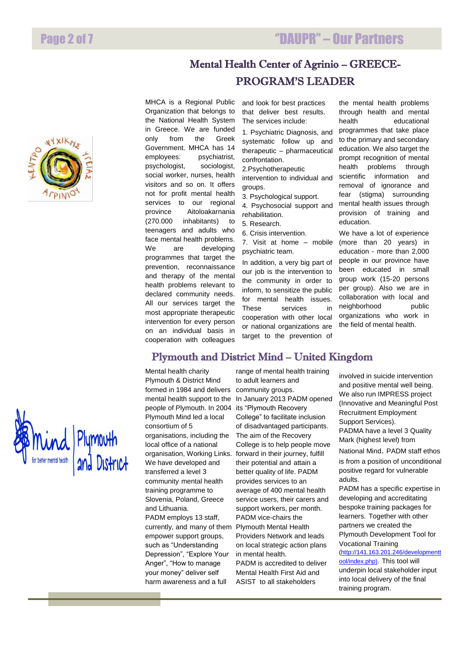



''DAUPR'' – Our Partners

MHCA is a Regional Public Organization that belongs to the National Health System in Greece. We are funded only from the Greek Government. MHCA has 14 employees: psychiatrist, psychologist, sociologist, social worker, nurses, health visitors and so on. It offers not for profit mental health services to our regional province Aitoloakarnania (270.000 inhabitants) to teenagers and adults who face mental health problems. We are developing programmes that target the prevention, reconnaissance and therapy of the mental health problems relevant to declared community needs. All our services target the most appropriate therapeutic intervention for every person on an individual basis in cooperation with colleagues

and look for best practices that deliver best results. The services include:

1. Psychiatric Diagnosis, and systematic follow up and therapeutic – pharmaceutical confrontation.

2.Psychotherapeutic

intervention to individual and groups.

- 3. Psychological support.
- 4. Psychosocial support and rehabilitation.
- 5. Research.
- 6. Crisis intervention.

7. Visit at home – mobile psychiatric team.

In addition, a very big part of our job is the intervention to the community in order to inform, to sensitize the public for mental health issues. These services in cooperation with other local or national organizations are target to the prevention of

through health and mental health educational programmes that take place to the primary and secondary education. We also target the prompt recognition of mental health problems through scientific information and removal of ignorance and fear (stigma) surrounding mental health issues through provision of training and education.

the mental health problems

We have a lot of experience (more than 20 years) in education - more than 2,000 people in our province have been educated in small group work (15-20 persons per group). Also we are in collaboration with local and neighborhood public organizations who work in the field of mental health.



Mental health charity Plymouth & District Mind formed in 1984 and delivers mental health support to the people of Plymouth. In 2004 Plymouth Mind led a local consortium of 5 organisations, including the local office of a national organisation, Working Links. We have developed and transferred a level 3 community mental health training programme to Slovenia, Poland, Greece and Lithuania. PADM employs 13 staff, currently, and many of them empower support groups, such as "Understanding Depression", "Explore Your Anger", "How to manage your money" deliver self harm awareness and a full

range of mental health training to adult learners and community groups. In January 2013 PADM opened its "Plymouth Recovery College" to facilitate inclusion of disadvantaged participants. The aim of the Recovery College is to help people move forward in their journey, fulfill their potential and attain a better quality of life. PADM provides services to an average of 400 mental health service users, their carers and support workers, per month. PADM vice-chairs the Plymouth Mental Health Providers Network and leads on local strategic action plans in mental health.

PADM is accredited to deliver Mental Health First Aid and ASIST to all stakeholders

involved in suicide intervention and positive mental well being. We also run IMPRESS project (Innovative and Meaningful Post Recruitment Employment Support Services). PADMA have a level 3 Quality Mark (highest level) from

National Mind. PADM staff ethos is from a position of unconditional positive regard for vulnerable adults.

PADM has a specific expertise in developing and accreditating bespoke training packages for learners. Together with other partners we created the Plymouth Development Tool for Vocational Training

[\(http://141.163.201.246/developmentt](http://141.163.201.246/developmenttool/index.php)) [ool/index.php\).](http://141.163.201.246/developmenttool/index.php)) This tool will underpin local stakeholder input into local delivery of the final training program.

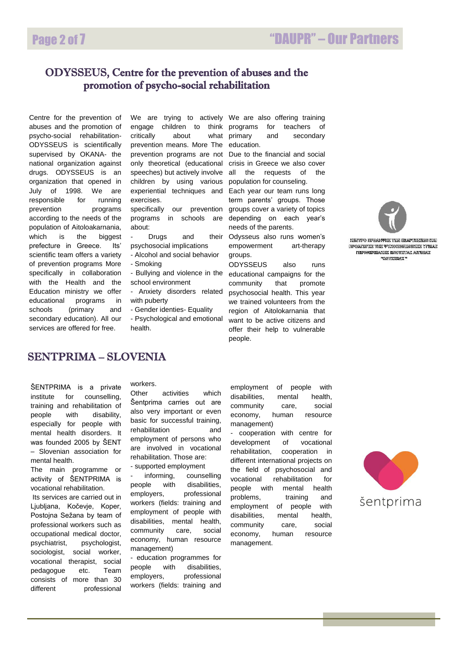#### ODYSSEUS, Centre for the prevention of abuses and the promotion of psycho-social rehabilitation

July of Centre for the prevention of abuses and the promotion of psycho-social rehabilitation-ODYSSEUS is scientifically supervised by OKANA- the national organization against drugs. ODYSSEUS is an organization that opened in<br>July of 1998. We are We are responsible for running prevention programs according to the needs of the population of Aitoloakarnania, which is the biggest prefecture in Greece. Its' scientific team offers a variety of prevention programs More specifically in collaboration with the Health and the Education ministry we offer educational programs in schools (primary and secondary education). All our services are offered for free.

engage children to think critically about what primary prevention means. More The education. prevention programs are not Due to the financial and social speeches) but actively involve all children by using various population for counseling. exercises.

about:

- Drugs and psychosocial implications

- Alcohol and social behavior
- Smoking
- Bullying and violence in the school environment
- Anxiety disorders related with puberty
- Gender identies- Equality
- Psychological and emotional health.

We are trying to actively We are also offering training for teachers of and secondary

only theoretical (educational crisis in Greece we also cover the requests of the

experiential techniques and Each year our team runs long specifically our prevention groups cover a variety of topics programs in schools are depending on each year's term parents' groups. Those needs of the parents.

> their Odysseus also runs women's empowerment art-therapy groups.

> > ODYSSEUS also runs educational campaigns for the community that promote psychosocial health. This year we trained volunteers from the region of Aitolokarnania that want to be active citizens and offer their help to vulnerable people.



KIEMTERO FIIPIOAKREATEK TIOAN EELAPTITATEKOM KAN **FIPOATOFIE THE WYXOKONNOMIKIE YFILM**S **Representative Encyclopedia Andrica ROAMZZEAZ** 

#### SENTPRIMA – SLOVENIA

ŠENTPRIMA is a private institute for counselling, training and rehabilitation of people with disability, especially for people with mental health disorders. It was founded 2005 by ŠENT – Slovenian association for mental health.

The main programme or activity of ŠENTPRIMA is vocational rehabilitation.

Its services are carried out in Ljubljana, Kočevje, Koper, Postojna Sežana by team of professional workers such as occupational medical doctor, psychiatrist, psychologist, sociologist, social worker, vocational therapist, social pedagogue etc. Team consists of more than 30 different professional

#### workers.

Other activities which Šentprima carries out are also very important or even basic for successful training, rehabilitation and employment of persons who are involved in vocational rehabilitation. Those are:

- supported employment

informing, counselling people with disabilities, employers, professional workers (fields: training and employment of people with disabilities, mental health, community care, social economy, human resource management)

- education programmes for people with disabilities, employers, professional workers (fields: training and employment of people with disabilities, mental health, community care, social economy, human resource management)

- cooperation with centre for development of vocational rehabilitation, cooperation in different international projects on the field of psychosocial and vocational rehabilitation for people with mental health problems, training and employment of people with disabilities, mental health, community care, social economy, human resource management.

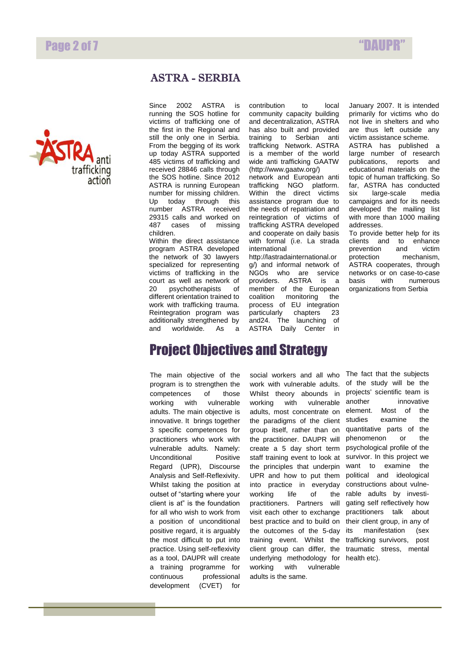## Page 2 of 7  $\blacksquare$



#### ASTRA - SERBIA

Since 2002 ASTRA is running the SOS hotline for victims of trafficking one of the first in the Regional and still the only one in Serbia. From the begging of its work up today ASTRA supported 485 victims of trafficking and received 28846 calls through the SOS hotline. Since 2012 ASTRA is running European number for missing children. Up today through this number ASTRA received 29315 calls and worked on 487 cases of missing children.

Within the direct assistance program ASTRA developed the network of 30 lawyers specialized for representing victims of trafficking in the court as well as network of 20 psychotherapists of different orientation trained to work with trafficking trauma. Reintegration program was additionally strengthened by and worldwide. As a contribution to local community capacity building and decentralization, ASTRA has also built and provided training to Serbian anti trafficking Network. ASTRA is a member of the world wide anti trafficking GAATW (http://www.gaatw.org/)

network and European anti trafficking NGO platform. Within the direct victims assistance program due to the needs of repatriation and reintegration of victims of trafficking ASTRA developed and cooperate on daily basis with formal (i.e. La strada international

http://lastradainternational.or g/) and informal network of NGOs who are service<br>providers. ASTRA is a ASTRA is a member of the European coalition monitoring the process of EU integration particularly chapters 23 and24. The launching of ASTRA Daily Center in

January 2007. It is intended primarily for victims who do not live in shelters and who are thus left outside any victim assistance scheme. ASTRA has published a large number of research publications, reports and educational materials on the topic of human trafficking. So far, ASTRA has conducted six large-scale media campaigns and for its needs developed the mailing list with more than 1000 mailing addresses.

To provide better help for its clients and to enhance<br>prevention and victim prevention protection mechanism, ASTRA cooperates, through networks or on case-to-case<br>basis with numerous numerous organizations from Serbia

# Project Objectives and Strategy

The main objective of the program is to strengthen the competences of those working with vulnerable adults. The main objective is innovative. It brings together 3 specific competences for practitioners who work with vulnerable adults. Namely: Unconditional Positive Regard (UPR), Discourse Analysis and Self-Reflexivity. Whilst taking the position at outset of "starting where your client is at" is the foundation for all who wish to work from a position of unconditional positive regard, it is arguably the most difficult to put into practice. Using self-reflexivity as a tool, DAUPR will create a training programme for continuous professional development (CVET) for

social workers and all who work with vulnerable adults. Whilst theory abounds in working with vulnerable adults, most concentrate on the paradigms of the client group itself, rather than on the practitioner. DAUPR will create a 5 day short term staff training event to look at the principles that underpin UPR and how to put them into practice in everyday working life of the practitioners. Partners will visit each other to exchange best practice and to build on the outcomes of the 5-day training event. Whilst the client group can differ, the underlying methodology for working with vulnerable adults is the same.

The fact that the subjects of the study will be the projects' scientific team is another innovative element. Most of the studies examine the quantitative parts of the phenomenon or the psychological profile of the survivor. In this project we want to examine the political and ideological constructions about vulnerable adults by investigating self reflectively how practitioners talk about their client group, in any of its manifestation (sex trafficking survivors, post traumatic stress, mental health etc).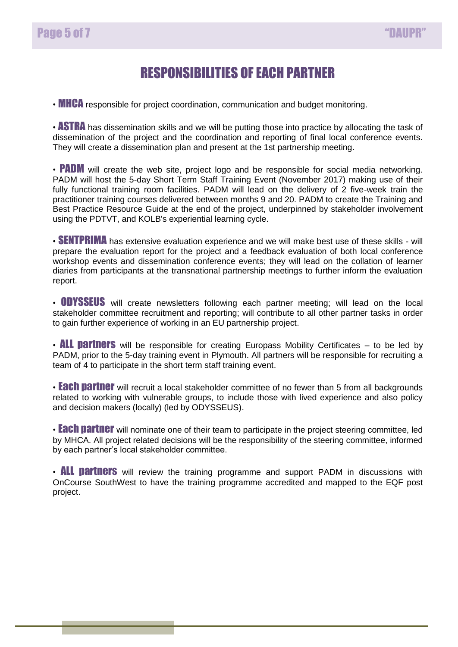# RESPONSIBILITIES OF EACH PARTNER

• **MHCA** responsible for project coordination, communication and budget monitoring.

• **ASTRA** has dissemination skills and we will be putting those into practice by allocating the task of dissemination of the project and the coordination and reporting of final local conference events. They will create a dissemination plan and present at the 1st partnership meeting.

• **PADM** will create the web site, project logo and be responsible for social media networking. PADM will host the 5-day Short Term Staff Training Event (November 2017) making use of their fully functional training room facilities. PADM will lead on the delivery of 2 five-week train the practitioner training courses delivered between months 9 and 20. PADM to create the Training and Best Practice Resource Guide at the end of the project, underpinned by stakeholder involvement using the PDTVT, and KOLB's experiential learning cycle.

• **SENTPRIMA** has extensive evaluation experience and we will make best use of these skills - will prepare the evaluation report for the project and a feedback evaluation of both local conference workshop events and dissemination conference events; they will lead on the collation of learner diaries from participants at the transnational partnership meetings to further inform the evaluation report.

• **ODYSSEUS** will create newsletters following each partner meeting; will lead on the local stakeholder committee recruitment and reporting; will contribute to all other partner tasks in order to gain further experience of working in an EU partnership project.

• **ALL partners** will be responsible for creating Europass Mobility Certificates  $-$  to be led by PADM, prior to the 5-day training event in Plymouth. All partners will be responsible for recruiting a team of 4 to participate in the short term staff training event.

• **Each partner** will recruit a local stakeholder committee of no fewer than 5 from all backgrounds related to working with vulnerable groups, to include those with lived experience and also policy and decision makers (locally) (led by ODYSSEUS).

• **Each partner** will nominate one of their team to participate in the project steering committee, led by MHCA. All project related decisions will be the responsibility of the steering committee, informed by each partner's local stakeholder committee.

• **ALL partners** will review the training programme and support PADM in discussions with OnCourse SouthWest to have the training programme accredited and mapped to the EQF post project.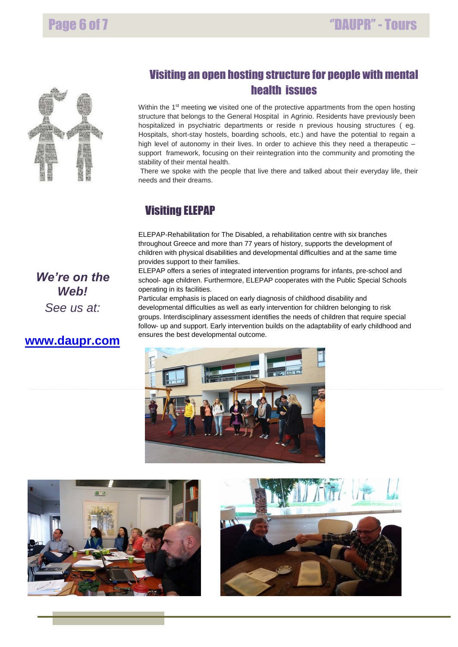

## Visiting an open hosting structure for people with mental health issues

 support framework, focusing on their reintegration into the community and promoting the Within the 1<sup>st</sup> meeting we visited one of the protective appartments from the open hosting structure that belongs to the General Hospital in Agrinio. Residents have previously been hospitalized in psychiatric departments or reside n previous housing structures ( eg. Hospitals, short-stay hostels, boarding schools, etc.) and have the potential to regain a high level of autonomy in their lives. In order to achieve this they need a therapeutic – stability of their mental health.

There we spoke with the people that live there and talked about their everyday life, their needs and their dreams.

## Visiting ELEPAP

 children with physical disabilities and developmental difficulties and at the same time ELEPAP-Rehabilitation for The Disabled, a rehabilitation centre with six branches throughout Greece and more than 77 years of history, supports the development of provides support to their families.

ELEPAP offers a series of integrated intervention programs for infants, pre-school and school- age children. Furthermore, ELEPAP cooperates with the Public Special Schools operating in its facilities.

Particular emphasis is placed on early diagnosis of childhood disability and developmental difficulties as well as early intervention for children belonging to risk groups. Interdisciplinary assessment identifies the needs of children that require special follow- up and support. Early intervention builds on the adaptability of early childhood and ensures the best developmental outcome.







*We're on the Web! See us at:*

### **[www.daupr.com](http://www.daupr.com/)**